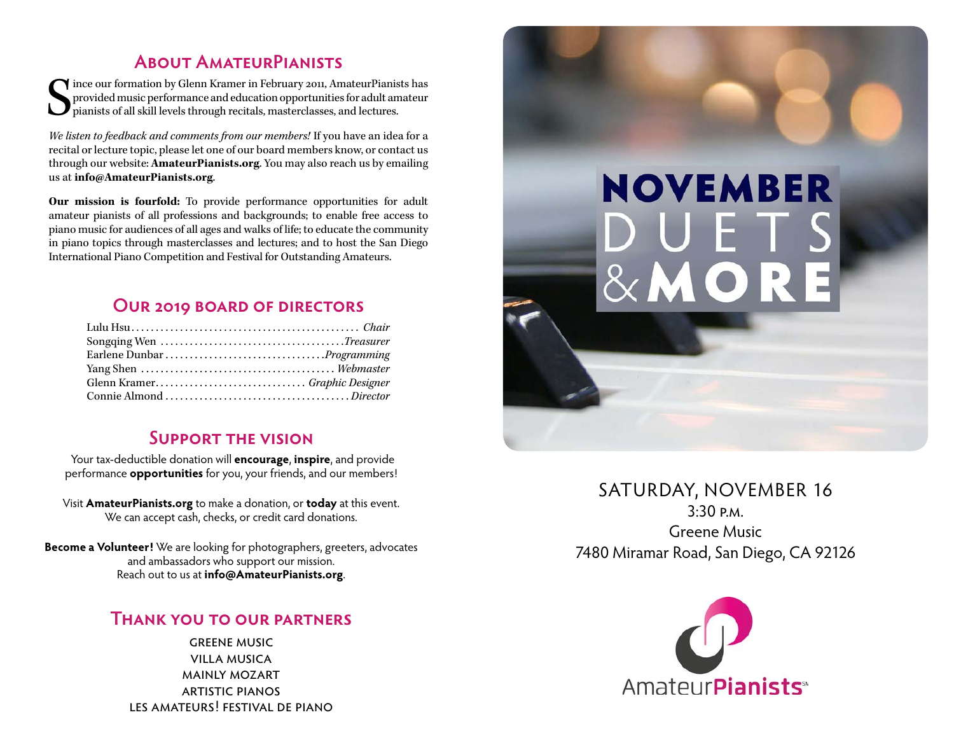## **About AmateurPianists**

S ince our formation by Glenn Kramer in February 2011, AmateurPianists has provided music performance and education opportunities for adult amateur pianists of all skill levels through recitals, masterclasses, and lectures.

*We listen to feedback and comments from our members!* If you have an idea for a recital or lecture topic, please let one of our board members know, or contact us through our website: **[AmateurPianists.org](http://AmateurPianists.org)**. You may also reach us by emailing us at **[info@AmateurPianists.org](mailto:info@AmateurPianists.org)**.

**Our mission is fourfold:** To provide performance opportunities for adult amateur pianists of all professions and backgrounds; to enable free access to piano music for audiences of all ages and walks of life; to educate the community in piano topics through masterclasses and lectures; and to host the San Diego International Piano Competition and Festival for Outstanding Amateurs.

## **Our 2019 board of directors**

#### **Support the vision**

Your tax-deductible donation will **encourage**, **inspire**, and provide performance **opportunities** for you, your friends, and our members!

Visit **[AmateurPianists.org](http://AmateurPianists.org)** to make a donation, or **today** at this event. We can accept cash, checks, or credit card donations.

**Become a Volunteer!** We are looking for photographers, greeters, advocates and ambassadors who support our mission. Reach out to us at **[info@AmateurPianists.org](mailto:info@AmateurPianists.org)**.

### **Thank you to our partners**

greene music villa musica mainly mozart artistic pianos les amateurs! festival de piano



SATURDAY, NOVEMBER 16 3:30 p.m. Greene Music 7480 Miramar Road, San Diego, CA 92126